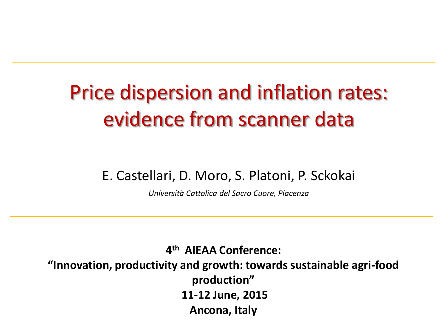# Price dispersion and inflation rates: evidence from scanner data

# E. Castellari, D. Moro, S. Platoni, P. Sckokai

*Università Cattolica del Sacro Cuore, Piacenza*

**4 th AIEAA Conference: "Innovation, productivity and growth: towards sustainable agri-food production" 11-12 June, 2015 Ancona, Italy**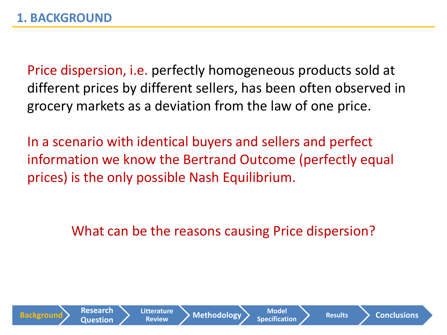Price dispersion, i.e. perfectly homogeneous products sold at different prices by different sellers, has been often observed in grocery markets as a deviation from the law of one price.

In a scenario with identical buyers and sellers and perfect information we know the Bertrand Outcome (perfectly equal prices) is the only possible Nash Equilibrium.

What can be the reasons causing Price dispersion?

**Review Methodology Model** 

**Specification Results Conclusions**

**Litterature** 

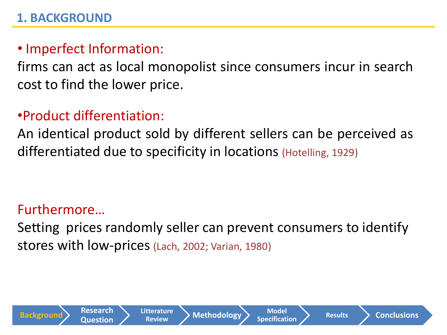## **1. BACKGROUND**

## • Imperfect Information:

firms can act as local monopolist since consumers incur in search cost to find the lower price.

# •Product differentiation:

**Question**

**Litterature** 

An identical product sold by different sellers can be perceived as differentiated due to specificity in locations (Hotelling, 1929)

# Furthermore…

Setting prices randomly seller can prevent consumers to identify stores with low-prices (Lach, 2002; Varian, 1980)

**Review Methodology Model** 

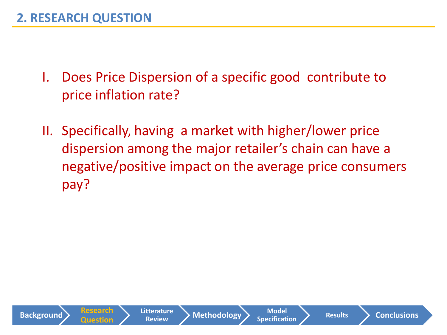- I. Does Price Dispersion of a specific good contribute to price inflation rate?
- II. Specifically, having a market with higher/lower price dispersion among the major retailer's chain can have a negative/positive impact on the average price consumers pay?

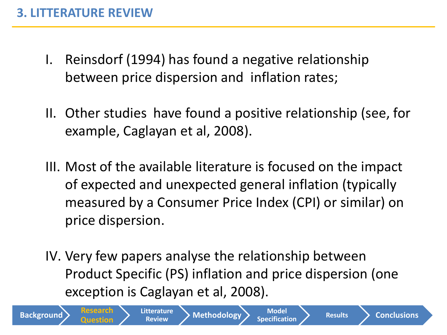## **3. LITTERATURE REVIEW**

**Background** 

**Question**

**Litterature** 

- I. Reinsdorf (1994) has found a negative relationship between price dispersion and inflation rates;
- II. Other studies have found a positive relationship (see, for example, Caglayan et al, 2008).
- III. Most of the available literature is focused on the impact of expected and unexpected general inflation (typically measured by a Consumer Price Index (CPI) or similar) on price dispersion.
- IV. Very few papers analyse the relationship between Product Specific (PS) inflation and price dispersion (one exception is Caglayan et al, 2008).

**Review Methodology Model**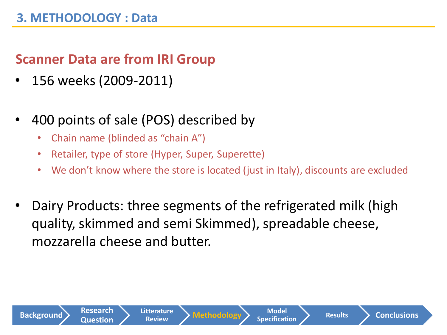#### **3. METHODOLOGY : Data**

# **Scanner Data are from IRI Group**

• 156 weeks (2009-2011)

**Background Research** 

**Question**

- 400 points of sale (POS) described by
	- Chain name (blinded as "chain A")
	- Retailer, type of store (Hyper, Super, Superette)

**Litterature** 

- We don't know where the store is located (just in Italy), discounts are excluded
- Dairy Products: three segments of the refrigerated milk (high quality, skimmed and semi Skimmed), spreadable cheese, mozzarella cheese and butter.

**Review Methodology Model**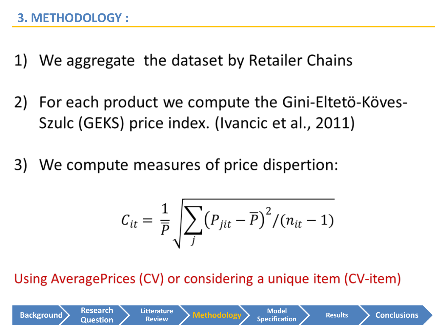**Background Research** 

**Question**

- 1) We aggregate the dataset by Retailer Chains
- For each product we compute the Gini-Eltetö-Köves-2) Szulc (GEKS) price index. (Ivancic et al., 2011)
- We compute measures of price dispertion: 3)

**Litterature** 

$$
C_{it} = \frac{1}{\overline{P}} \sqrt{\sum_j (P_{jit} - \overline{P})^2 / (n_{it} - 1)}
$$

Using AveragePrices (CV) or considering a unique item (CV-item)

**Review Methodology Model**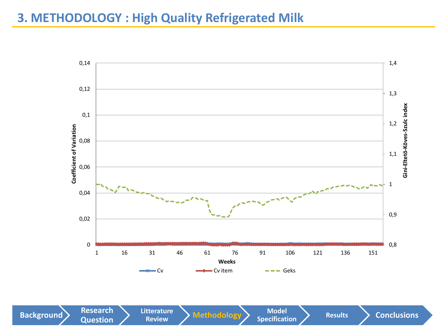

**Background Research Question**

**Litterature** 

**Review** Methodology Model **Review** Methodology **Model**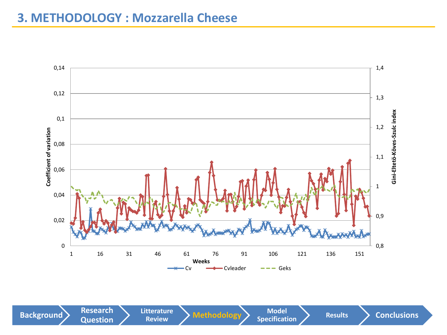

**Background Research** 

**Question**

**Review** Methodology Model **Review** Methodology **Model**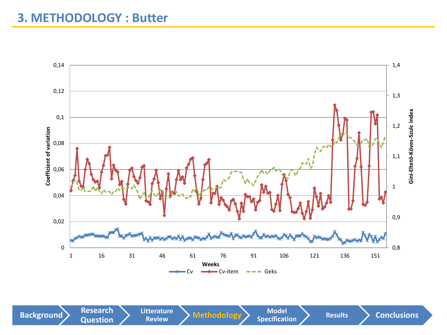#### **3. METHODOLOGY : Butter**



**Background Research** 

**Question**

**Litterature** 

**Review** Methodology Model **Review** Methodology **Model**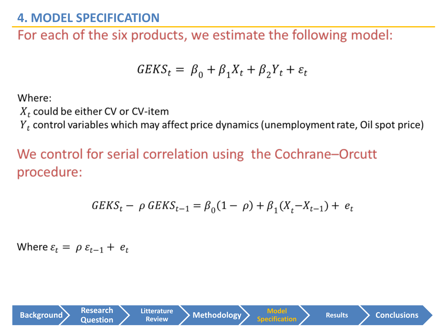## **4. MODEL SPECIFICATION**

For each of the six products, we estimate the following model:

$$
GEKS_t = \beta_0 + \beta_1 X_t + \beta_2 Y_t + \varepsilon_t
$$

Where:

 $X_t$  could be either CV or CV-item

 $Y_t$  control variables which may affect price dynamics (unemployment rate, Oil spot price)

We control for serial correlation using the Cochrane–Orcutt procedure:

$$
GEKS_t - \rho GEKS_{t-1} = \beta_0 (1 - \rho) + \beta_1 (X_t - X_{t-1}) + e_t
$$

Where  $\varepsilon_t = \rho \varepsilon_{t-1} + e_t$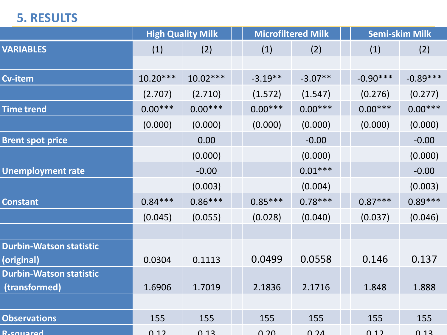## **5. RESULTS**

|                                | <b>High Quality Milk</b> |            | <b>Microfiltered Milk</b> |           |  | <b>Semi-skim Milk</b> |            |
|--------------------------------|--------------------------|------------|---------------------------|-----------|--|-----------------------|------------|
| <b>VARIABLES</b>               | (1)                      | (2)        | (1)                       | (2)       |  | (1)                   | (2)        |
|                                |                          |            |                           |           |  |                       |            |
| Cv-item                        | $10.20***$               | $10.02***$ | $-3.19**$                 | $-3.07**$ |  | $-0.90***$            | $-0.89***$ |
|                                | (2.707)                  | (2.710)    | (1.572)                   | (1.547)   |  | (0.276)               | (0.277)    |
| <b>Time trend</b>              | $0.00***$                | $0.00***$  | $0.00***$                 | $0.00***$ |  | $0.00***$             | $0.00***$  |
|                                | (0.000)                  | (0.000)    | (0.000)                   | (0.000)   |  | (0.000)               | (0.000)    |
| <b>Brent spot price</b>        |                          | 0.00       |                           | $-0.00$   |  |                       | $-0.00$    |
|                                |                          | (0.000)    |                           | (0.000)   |  |                       | (0.000)    |
| <b>Unemployment rate</b>       |                          | $-0.00$    |                           | $0.01***$ |  |                       | $-0.00$    |
|                                |                          | (0.003)    |                           | (0.004)   |  |                       | (0.003)    |
| <b>Constant</b>                | $0.84***$                | $0.86***$  | $0.85***$                 | $0.78***$ |  | $0.87***$             | $0.89***$  |
|                                | (0.045)                  | (0.055)    | (0.028)                   | (0.040)   |  | (0.037)               | (0.046)    |
|                                |                          |            |                           |           |  |                       |            |
| <b>Durbin-Watson statistic</b> |                          |            |                           |           |  |                       |            |
| (original)                     | 0.0304                   | 0.1113     | 0.0499                    | 0.0558    |  | 0.146                 | 0.137      |
| <b>Durbin-Watson statistic</b> |                          |            |                           |           |  |                       |            |
| (transformed)                  | 1.6906                   | 1.7019     | 2.1836                    | 2.1716    |  | 1.848                 | 1.888      |
|                                |                          |            |                           |           |  |                       |            |
| <b>Observations</b>            | 155                      | 155        | 155                       | 155       |  | 155                   | 155        |
| <b>R</b> -coulared             | 0.12                     | 0.13       | <u>በ 2በ</u>               | 0.24      |  | 0.12                  | 0.13       |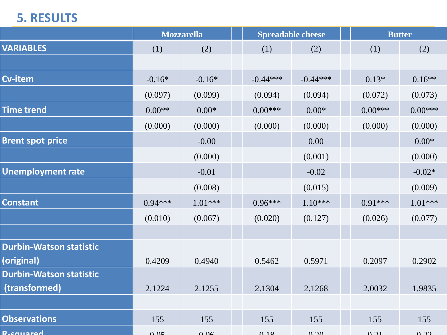# **5. RESULTS**

|                                | <b>Mozzarella</b> |           | <b>Spreadable cheese</b> |            |  | <b>Butter</b> |           |  |
|--------------------------------|-------------------|-----------|--------------------------|------------|--|---------------|-----------|--|
| <b>VARIABLES</b>               | (1)               | (2)       | (1)                      | (2)        |  | (1)           | (2)       |  |
|                                |                   |           |                          |            |  |               |           |  |
| <b>Cv-item</b>                 | $-0.16*$          | $-0.16*$  | $-0.44***$               | $-0.44***$ |  | $0.13*$       | $0.16**$  |  |
|                                | (0.097)           | (0.099)   | (0.094)                  | (0.094)    |  | (0.072)       | (0.073)   |  |
| <b>Time trend</b>              | $0.00**$          | $0.00*$   | $0.00***$                | $0.00*$    |  | $0.00***$     | $0.00***$ |  |
|                                | (0.000)           | (0.000)   | (0.000)                  | (0.000)    |  | (0.000)       | (0.000)   |  |
| <b>Brent spot price</b>        |                   | $-0.00$   |                          | 0.00       |  |               | $0.00*$   |  |
|                                |                   | (0.000)   |                          | (0.001)    |  |               | (0.000)   |  |
| <b>Unemployment rate</b>       |                   | $-0.01$   |                          | $-0.02$    |  |               | $-0.02*$  |  |
|                                |                   | (0.008)   |                          | (0.015)    |  |               | (0.009)   |  |
| <b>Constant</b>                | $0.94***$         | $1.01***$ | $0.96***$                | $1.10***$  |  | $0.91***$     | $1.01***$ |  |
|                                | (0.010)           | (0.067)   | (0.020)                  | (0.127)    |  | (0.026)       | (0.077)   |  |
|                                |                   |           |                          |            |  |               |           |  |
| <b>Durbin-Watson statistic</b> |                   |           |                          |            |  |               |           |  |
| (original)                     | 0.4209            | 0.4940    | 0.5462                   | 0.5971     |  | 0.2097        | 0.2902    |  |
| <b>Durbin-Watson statistic</b> |                   |           |                          |            |  |               |           |  |
| (transformed)                  | 2.1224            | 2.1255    | 2.1304                   | 2.1268     |  | 2.0032        | 1.9835    |  |
|                                |                   |           |                          |            |  |               |           |  |
| <b>Observations</b>            | 155               | 155       | 155                      | 155        |  | 155           | 155       |  |
| <b>R</b> <sub>caustan</sub>    | 0.05              | 0.06      | 0.19                     | $\Omega$   |  | $\Omega$ 21   | $\Omega$  |  |